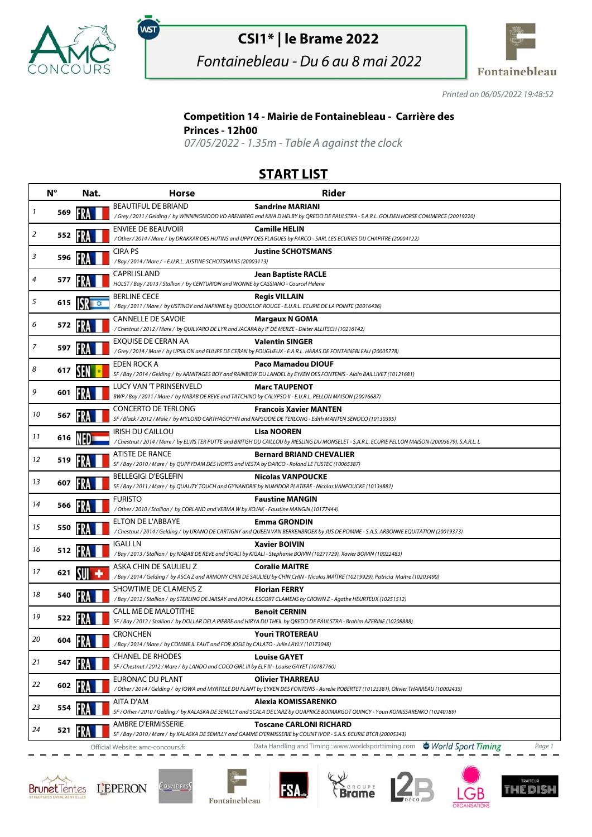

,<br>wsт

## **CSI1\* | le Brame 2022**

Fontainebleau - Du 6 au 8 mai 2022



Printed on 06/05/2022 19:48:52

## **Competition 14 - Mairie de Fontainebleau - Carrière des**

**Princes - 12h00**

07/05/2022 - 1.35m - Table A against the clock

## **START LIST**

|    | $N^{\circ}$ | Nat.  | <b>Horse</b>                                                                                                                     | <b>Rider</b>                                                                                                                                                     |
|----|-------------|-------|----------------------------------------------------------------------------------------------------------------------------------|------------------------------------------------------------------------------------------------------------------------------------------------------------------|
| 1  | 569         |       | BEAUTIFUL DE BRIAND                                                                                                              | <b>Sandrine MARIANI</b><br>/Grey / 2011 / Gelding / by WINNINGMOOD VD ARENBERG and KIVA D'HELBY by QREDO DE PAULSTRA - S.A.R.L. GOLDEN HORSE COMMERCE (20019220) |
|    |             |       | <b>ENVIEE DE BEAUVOIR</b>                                                                                                        | <b>Camille HELIN</b>                                                                                                                                             |
| 2  | 552         |       |                                                                                                                                  | / Other / 2014 / Mare / by DRAKKAR DES HUTINS and UPPY DES FLAGUES by PARCO - SARL LES ECURIES DU CHAPITRE (20004122)                                            |
| 3  | 596         |       | CIRA PS                                                                                                                          | <b>Justine SCHOTSMANS</b>                                                                                                                                        |
|    |             |       | /Bay / 2014 / Mare / - E.U.R.L. JUSTINE SCHOTSMANS (20003113)                                                                    |                                                                                                                                                                  |
| 4  | 577         |       | <b>CAPRI ISLAND</b><br>HOLST / Bay / 2013 / Stallion / by CENTURION and WONNE by CASSIANO - Courcel Helene                       | <b>Jean Baptiste RACLE</b>                                                                                                                                       |
| 5  | 615         |       | <b>BERLINE CECE</b>                                                                                                              | <b>Regis VILLAIN</b>                                                                                                                                             |
|    |             |       | / Bay / 2011 / Mare / by USTINOV and NAPKINE by QUOUGLOF ROUGE - E.U.R.L. ECURIE DE LA POINTE (20016436)                         |                                                                                                                                                                  |
| 6  | 572         |       | <b>CANNELLE DE SAVOIE</b><br>/Chestnut / 2012 / Mare / by QUILVARO DE LYR and JACARA by IF DE MERZE - Dieter ALLITSCH (10216142) | <b>Margaux N GOMA</b>                                                                                                                                            |
| 7  | 597         | FRA   | EXQUISE DE CERAN AA                                                                                                              | <b>Valentin SINGER</b>                                                                                                                                           |
|    |             |       |                                                                                                                                  | /Grey / 2014 / Mare / by UPSILON and EULIPE DE CERAN by FOUGUEUX - E.A.R.L. HARAS DE FONTAINEBLEAU (20005778)                                                    |
| 8  | 617         | SEN   | EDEN ROCK A                                                                                                                      | Paco Mamadou DIOUF<br>SF / Bay / 2014 / Gelding / by ARMITAGES BOY and RAINBOW DU LANDEL by EYKEN DES FONTENIS - Alain BAILLIVET (10121681)                      |
| 9  |             |       | LUCY VAN 'T PRINSENVELD                                                                                                          | <b>Marc TAUPENOT</b>                                                                                                                                             |
|    | 601         |       | BWP / Bay / 2011 / Mare / by NABAB DE REVE and TATCHINO by CALYPSO II - E.U.R.L. PELLON MAISON (20016687)                        |                                                                                                                                                                  |
| 10 | 567         |       | <b>CONCERTO DE TERLONG</b>                                                                                                       | <b>Francois Xavier MANTEN</b><br>SF / Black / 2012 / Male / by MYLORD CARTHAGO*HN and RAPSODIE DE TERLONG - Edith MANTEN SENOCQ (10130395)                       |
|    |             |       | IRISH DU CAILLOU                                                                                                                 | Lisa NOOREN                                                                                                                                                      |
| 11 | 616         |       |                                                                                                                                  | / Chestnut / 2014 / Mare / by ELVIS TER PUTTE and BRITISH DU CAILLOU by RIESLING DU MONSELET - S.A.R.L. ECURIE PELLON MAISON (20005679), S.A.R.L. L              |
| 12 | 519         |       | ATISTE DE RANCE<br>SF / Bay / 2010 / Mare / by QUPPYDAM DES HORTS and VESTA by DARCO - Roland LE FUSTEC (10065387)               | <b>Bernard BRIAND CHEVALIER</b>                                                                                                                                  |
|    |             |       | <b>BELLEGIGI D'EGLEFIN</b>                                                                                                       | <b>Nicolas VANPOUCKE</b>                                                                                                                                         |
| 13 | 607         |       |                                                                                                                                  | SF / Bay / 2011 / Mare / by QUALITY TOUCH and GYNANDRIE by NUMIDOR PLATIERE - Nicolas VANPOUCKE (10134881)                                                       |
| 14 | 566         |       | Furisto<br>/Other / 2010 / Stallion / by CORLAND and VERMA W by KOJAK - Faustine MANGIN (10177444)                               | <b>Faustine MANGIN</b>                                                                                                                                           |
|    |             |       | ELTON DE L'ABBAYE                                                                                                                | Emma GRONDIN                                                                                                                                                     |
| 15 | 550         |       |                                                                                                                                  | /Chestnut/2014/Gelding/by URANO DE CARTIGNY and QUEEN VAN BERKENBROEK by JUS DE POMME - S.A.S. ARBONNE EQUITATION (20019373)                                     |
| 16 | 512         | FRA   | <b>IGALI LN</b>                                                                                                                  | <b>Xavier BOIVIN</b><br>/ Bay / 2013 / Stallion / by NABAB DE REVE and SIGALI by KIGALI - Stephanie BOIVIN (10271729), Xavier BOIVIN (10022483)                  |
|    |             |       | ASKA CHIN DE SAULIEU Z                                                                                                           | <b>Coralie MAITRE</b>                                                                                                                                            |
| 17 | 621         | SUI + |                                                                                                                                  | /Bay / 2014 / Gelding / by ASCA Z and ARMONY CHIN DE SAULIEU by CHIN CHIN - Nicolas MAÎTRE (10219929), Patricia Maitre (10203490)                                |
| 18 | 540         |       | SHOWTIME DE CLAMENS Z                                                                                                            | <b>Florian FERRY</b>                                                                                                                                             |
|    |             |       | CALL ME DE MALOTITHE                                                                                                             | /Bay / 2012 / Stallion / by STERLING DE JARSAY and ROYAL ESCORT CLAMENS by CROWN Z - Agathe HEURTEUX (10251512)<br><b>Benoit CERNIN</b>                          |
| 19 | 522         |       |                                                                                                                                  | SF / Bay / 2012 / Stallion / by DOLLAR DELA PIERRE and HIRYA DU THEIL by QREDO DE PAULSTRA - Brahim AZERINE (10208888)                                           |
| 20 | 604         |       | <b>CRONCHEN</b>                                                                                                                  | <b>Youri TROTEREAU</b>                                                                                                                                           |
|    |             |       | / Bay / 2014 / Mare / by COMME IL FAUT and FOR JOSIE by CALATO - Julie LAYLY (10173048)                                          |                                                                                                                                                                  |
| 21 | 547         |       | <b>CHANEL DE RHODES</b><br>SF / Chestnut / 2012 / Mare / by LANDO and COCO GIRL III by ELF III - Louise GAYET (10187760)         | <b>Louise GAYET</b>                                                                                                                                              |
| 22 |             |       | EURONAC DU PLANT                                                                                                                 | <b>Olivier THARREAU</b>                                                                                                                                          |
|    | 602 13      |       |                                                                                                                                  | / Other / 2014 / Gelding / by IOWA and MYRTILLE DU PLANT by EYKEN DES FONTENIS - Aurelie ROBERTET (10123381), Olivier THARREAU (10002435)                        |
| 23 | 554         |       | AITA D'AM                                                                                                                        | Alexia KOMISSARENKO<br>SF / Other / 2010 / Gelding / by KALASKA DE SEMILLY and SCALA DE L'ARZ by QUAPRICE BOIMARGOT QUINCY - Youri KOMISSARENKO (10240189)       |
|    |             |       | <b>AMBRE D'ERMISSERIE</b>                                                                                                        | <b>Toscane CARLONI RICHARD</b>                                                                                                                                   |
| 24 | 521         |       |                                                                                                                                  | SF / Bay / 2010 / Mare / by KALASKA DE SEMILLY and GAMME D'ERMISSERIE by COUNT IVOR - S.A.S. ECURIE BTCR (20005343)                                              |
|    |             |       | Official Website: amc-concours.fr                                                                                                | World Sport Timing<br>Data Handling and Timing: www.worldsporttiming.com<br>Page 1                                                                               |







**FSA**